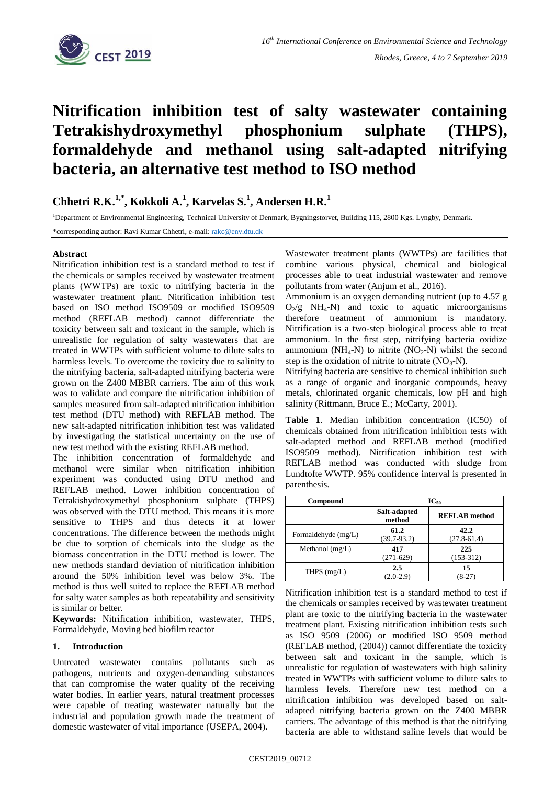

# **Nitrification inhibition test of salty wastewater containing Tetrakishydroxymethyl phosphonium sulphate (THPS), formaldehyde and methanol using salt-adapted nitrifying bacteria, an alternative test method to ISO method**

## **Chhetri R.K.1,\* , Kokkoli A.<sup>1</sup> , Karvelas S.<sup>1</sup> , Andersen H.R.<sup>1</sup>**

<sup>1</sup>Department of Environmental Engineering, Technical University of Denmark, Bygningstorvet, Building 115, 2800 Kgs. Lyngby, Denmark.

\*corresponding author: Ravi Kumar Chhetri, e-mail: [rakc@env.dtu.dk](mailto:rakc@env.dtu.dk)

### **Abstract**

Nitrification inhibition test is a standard method to test if the chemicals or samples received by wastewater treatment plants (WWTPs) are toxic to nitrifying bacteria in the wastewater treatment plant. Nitrification inhibition test based on ISO method ISO9509 or modified ISO9509 method (REFLAB method) cannot differentiate the toxicity between salt and toxicant in the sample, which is unrealistic for regulation of salty wastewaters that are treated in WWTPs with sufficient volume to dilute salts to harmless levels. To overcome the toxicity due to salinity to the nitrifying bacteria, salt-adapted nitrifying bacteria were grown on the Z400 MBBR carriers. The aim of this work was to validate and compare the nitrification inhibition of samples measured from salt-adapted nitrification inhibition test method (DTU method) with REFLAB method. The new salt-adapted nitrification inhibition test was validated by investigating the statistical uncertainty on the use of new test method with the existing REFLAB method.

The inhibition concentration of formaldehyde and methanol were similar when nitrification inhibition experiment was conducted using DTU method and REFLAB method. Lower inhibition concentration of Tetrakishydroxymethyl phosphonium sulphate (THPS) was observed with the DTU method. This means it is more sensitive to THPS and thus detects it at lower concentrations. The difference between the methods might be due to sorption of chemicals into the sludge as the biomass concentration in the DTU method is lower. The new methods standard deviation of nitrification inhibition around the 50% inhibition level was below 3%. The method is thus well suited to replace the REFLAB method for salty water samples as both repeatability and sensitivity is similar or better.

**Keywords:** Nitrification inhibition, wastewater, THPS, Formaldehyde, Moving bed biofilm reactor

#### **1. Introduction**

Untreated wastewater contains pollutants such as pathogens, nutrients and oxygen-demanding substances that can compromise the water quality of the receiving water bodies. In earlier years, natural treatment processes were capable of treating wastewater naturally but the industrial and population growth made the treatment of domestic wastewater of vital importance (USEPA, 2004).

Wastewater treatment plants (WWTPs) are facilities that combine various physical, chemical and biological processes able to treat industrial wastewater and remove pollutants from water (Anjum et al., 2016).

Ammonium is an oxygen demanding nutrient (up to 4.57 g  $O_2/g$  NH<sub>4</sub>-N) and toxic to aquatic microorganisms therefore treatment of ammonium is mandatory. Nitrification is a two-step biological process able to treat ammonium. In the first step, nitrifying bacteria oxidize ammonium (NH<sub>4</sub>-N) to nitrite (NO<sub>2</sub>-N) whilst the second step is the oxidation of nitrite to nitrate  $(NO<sub>3</sub>-N)$ .

Nitrifying bacteria are sensitive to chemical inhibition such as a range of organic and inorganic compounds, heavy metals, chlorinated organic chemicals, low pH and high salinity (Rittmann, Bruce E.; McCarty, 2001).

**Table 1**. Median inhibition concentration (IC50) of chemicals obtained from nitrification inhibition tests with salt-adapted method and REFLAB method (modified ISO9509 method). Nitrification inhibition test with REFLAB method was conducted with sludge from Lundtofte WWTP. 95% confidence interval is presented in parenthesis.

| Compound            | $IC_{50}$               |                         |  |  |  |
|---------------------|-------------------------|-------------------------|--|--|--|
|                     | Salt-adapted<br>method  | <b>REFLAB</b> method    |  |  |  |
| Formaldehyde (mg/L) | 61.2<br>$(39.7 - 93.2)$ | 42.2<br>$(27.8 - 61.4)$ |  |  |  |
| Methanol $(mg/L)$   | 417<br>$(271-629)$      | 225<br>$(153-312)$      |  |  |  |
| THPS $(mg/L)$       | 2.5<br>$(2.0-2.9)$      | 15<br>8-27              |  |  |  |

Nitrification inhibition test is a standard method to test if the chemicals or samples received by wastewater treatment plant are toxic to the nitrifying bacteria in the wastewater treatment plant. Existing nitrification inhibition tests such as ISO 9509 (2006) or modified ISO 9509 method (REFLAB method, (2004)) cannot differentiate the toxicity between salt and toxicant in the sample, which is unrealistic for regulation of wastewaters with high salinity treated in WWTPs with sufficient volume to dilute salts to harmless levels. Therefore new test method on a nitrification inhibition was developed based on saltadapted nitrifying bacteria grown on the Z400 MBBR carriers. The advantage of this method is that the nitrifying bacteria are able to withstand saline levels that would be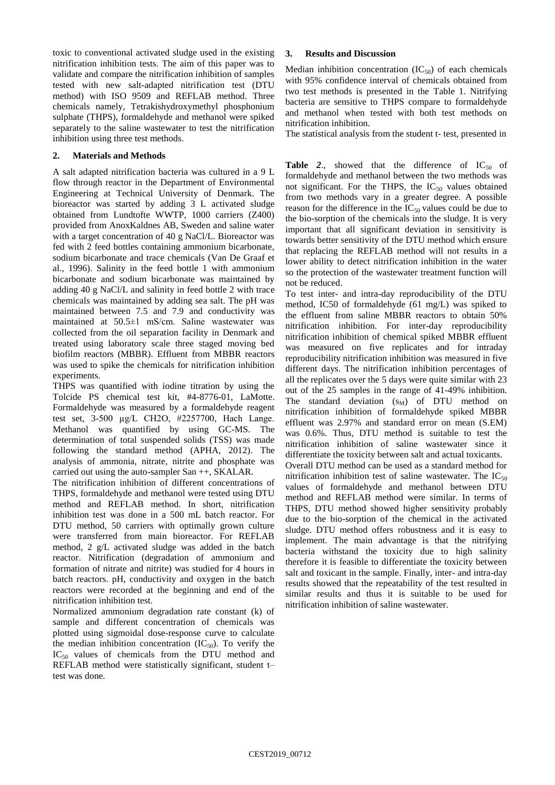toxic to conventional activated sludge used in the existing nitrification inhibition tests. The aim of this paper was to validate and compare the nitrification inhibition of samples tested with new salt-adapted nitrification test (DTU method) with ISO 9509 and REFLAB method. Three chemicals namely, Tetrakishydroxymethyl phosphonium sulphate (THPS), formaldehyde and methanol were spiked separately to the saline wastewater to test the nitrification inhibition using three test methods.

### **2. Materials and Methods**

A salt adapted nitrification bacteria was cultured in a 9 L flow through reactor in the Department of Environmental Engineering at Technical University of Denmark. The bioreactor was started by adding 3 L activated sludge obtained from Lundtofte WWTP, 1000 carriers (Z400) provided from AnoxKaldnes AB, Sweden and saline water with a target concentration of 40 g NaCl/L. Bioreactor was fed with 2 feed bottles containing ammonium bicarbonate, sodium bicarbonate and trace chemicals (Van De Graaf et al., 1996). Salinity in the feed bottle 1 with ammonium bicarbonate and sodium bicarbonate was maintained by adding 40 g NaCl/L and salinity in feed bottle 2 with trace chemicals was maintained by adding sea salt. The pH was maintained between 7.5 and 7.9 and conductivity was maintained at 50.5±1 mS/cm. Saline wastewater was collected from the oil separation facility in Denmark and treated using laboratory scale three staged moving bed biofilm reactors (MBBR). Effluent from MBBR reactors was used to spike the chemicals for nitrification inhibition experiments.

THPS was quantified with iodine titration by using the Tolcide PS chemical test kit, #4-8776-01, LaMotte. Formaldehyde was measured by a formaldehyde reagent test set, 3-500 µg/L CH2O, #2257700, Hach Lange. Methanol was quantified by using GC-MS. The determination of total suspended solids (TSS) was made following the standard method (APHA, 2012). The analysis of ammonia, nitrate, nitrite and phosphate was carried out using the auto-sampler San ++, SKALAR.

The nitrification inhibition of different concentrations of THPS, formaldehyde and methanol were tested using DTU method and REFLAB method. In short, nitrification inhibition test was done in a 500 mL batch reactor. For DTU method, 50 carriers with optimally grown culture were transferred from main bioreactor. For REFLAB method, 2 g/L activated sludge was added in the batch reactor. Nitrification (degradation of ammonium and formation of nitrate and nitrite) was studied for 4 hours in batch reactors. pH, conductivity and oxygen in the batch reactors were recorded at the beginning and end of the nitrification inhibition test.

Normalized ammonium degradation rate constant (k) of sample and different concentration of chemicals was plotted using sigmoidal dose-response curve to calculate the median inhibition concentration  $(IC_{50})$ . To verify the IC<sup>50</sup> values of chemicals from the DTU method and REFLAB method were statistically significant, student t– test was done.

### **3. Results and Discussion**

Median inhibition concentration  $(IC_{50})$  of each chemicals with 95% confidence interval of chemicals obtained from two test methods is presented in the Table 1. Nitrifying bacteria are sensitive to THPS compare to formaldehyde and methanol when tested with both test methods on nitrification inhibition.

The statistical analysis from the student t- test, presented in

**[Table](#page-2-0) 2.,** showed that the difference of  $IC_{50}$  of formaldehyde and methanol between the two methods was not significant. For the THPS, the  $IC_{50}$  values obtained from two methods vary in a greater degree. A possible reason for the difference in the  $IC_{50}$  values could be due to the bio-sorption of the chemicals into the sludge. It is very important that all significant deviation in sensitivity is towards better sensitivity of the DTU method which ensure that replacing the REFLAB method will not results in a lower ability to detect nitrification inhibition in the water so the protection of the wastewater treatment function will not be reduced.

To test inter- and intra-day reproducibility of the DTU method, IC50 of formaldehyde (61 mg/L) was spiked to the effluent from saline MBBR reactors to obtain 50% nitrification inhibition. For inter-day reproducibility nitrification inhibition of chemical spiked MBBR effluent was measured on five replicates and for intraday reproducibility nitrification inhibition was measured in five different days. The nitrification inhibition percentages of all the replicates over the 5 days were quite similar with 23 out of the 25 samples in the range of 41-49% inhibition. The standard deviation  $(s_M)$  of DTU method on nitrification inhibition of formaldehyde spiked MBBR effluent was 2.97% and standard error on mean (S.EM) was 0.6%. Thus, DTU method is suitable to test the nitrification inhibition of saline wastewater since it differentiate the toxicity between salt and actual toxicants. Overall DTU method can be used as a standard method for nitrification inhibition test of saline wastewater. The  $IC_{50}$ values of formaldehyde and methanol between DTU method and REFLAB method were similar. In terms of THPS, DTU method showed higher sensitivity probably due to the bio-sorption of the chemical in the activated sludge. DTU method offers robustness and it is easy to implement. The main advantage is that the nitrifying bacteria withstand the toxicity due to high salinity therefore it is feasible to differentiate the toxicity between salt and toxicant in the sample. Finally, inter- and intra-day results showed that the repeatability of the test resulted in similar results and thus it is suitable to be used for nitrification inhibition of saline wastewater.